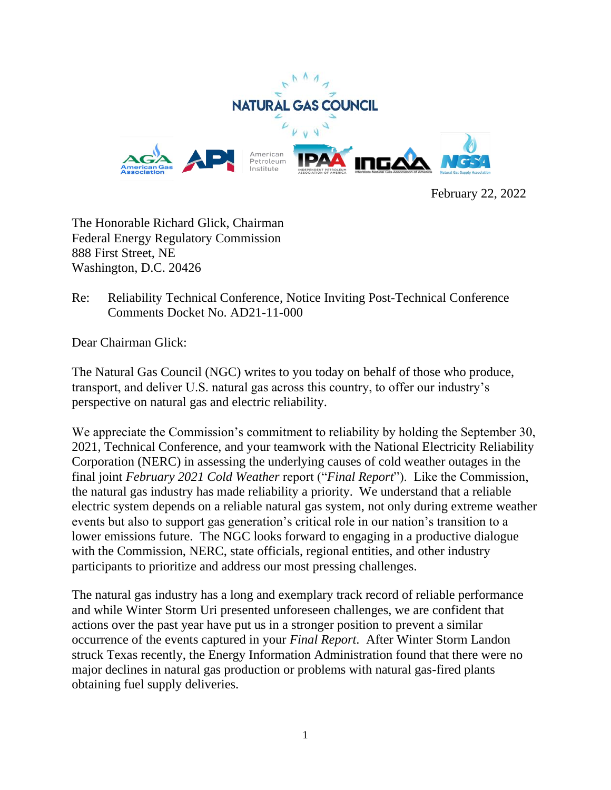

February 22, 2022

The Honorable Richard Glick, Chairman Federal Energy Regulatory Commission 888 First Street, NE Washington, D.C. 20426

Re: Reliability Technical Conference, Notice Inviting Post-Technical Conference Comments Docket No. AD21-11-000

Dear Chairman Glick:

The Natural Gas Council (NGC) writes to you today on behalf of those who produce, transport, and deliver U.S. natural gas across this country, to offer our industry's perspective on natural gas and electric reliability.

We appreciate the Commission's commitment to reliability by holding the September 30, 2021, Technical Conference, and your teamwork with the National Electricity Reliability Corporation (NERC) in assessing the underlying causes of cold weather outages in the final joint *February 2021 Cold Weather* report ("*Final Report*"). Like the Commission, the natural gas industry has made reliability a priority. We understand that a reliable electric system depends on a reliable natural gas system, not only during extreme weather events but also to support gas generation's critical role in our nation's transition to a lower emissions future. The NGC looks forward to engaging in a productive dialogue with the Commission, NERC, state officials, regional entities, and other industry participants to prioritize and address our most pressing challenges.

The natural gas industry has a long and exemplary track record of reliable performance and while Winter Storm Uri presented unforeseen challenges, we are confident that actions over the past year have put us in a stronger position to prevent a similar occurrence of the events captured in your *Final Report*. After Winter Storm Landon struck Texas recently, the Energy Information Administration found that there were no major declines in natural gas production or problems with natural gas-fired plants obtaining fuel supply deliveries.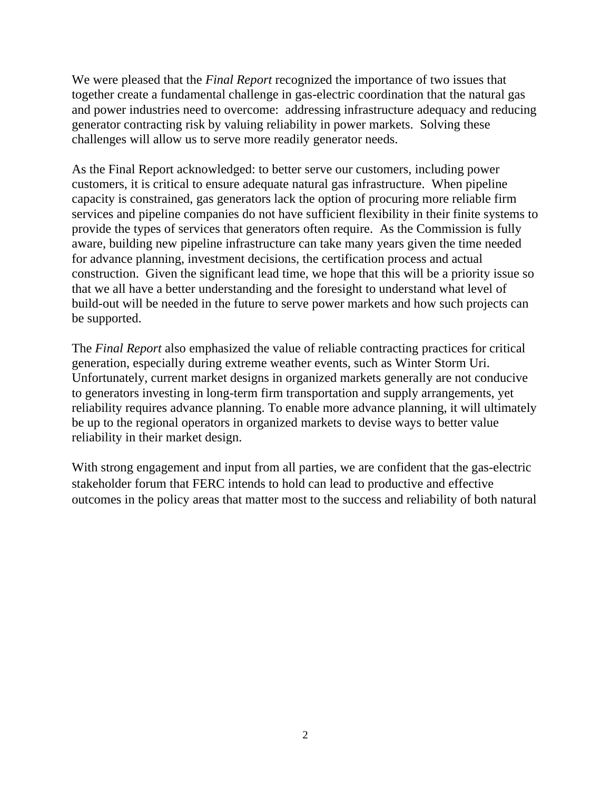We were pleased that the *Final Report* recognized the importance of two issues that together create a fundamental challenge in gas-electric coordination that the natural gas and power industries need to overcome: addressing infrastructure adequacy and reducing generator contracting risk by valuing reliability in power markets. Solving these challenges will allow us to serve more readily generator needs.

As the Final Report acknowledged: to better serve our customers, including power customers, it is critical to ensure adequate natural gas infrastructure. When pipeline capacity is constrained, gas generators lack the option of procuring more reliable firm services and pipeline companies do not have sufficient flexibility in their finite systems to provide the types of services that generators often require. As the Commission is fully aware, building new pipeline infrastructure can take many years given the time needed for advance planning, investment decisions, the certification process and actual construction. Given the significant lead time, we hope that this will be a priority issue so that we all have a better understanding and the foresight to understand what level of build-out will be needed in the future to serve power markets and how such projects can be supported.

The *Final Report* also emphasized the value of reliable contracting practices for critical generation, especially during extreme weather events, such as Winter Storm Uri. Unfortunately, current market designs in organized markets generally are not conducive to generators investing in long-term firm transportation and supply arrangements, yet reliability requires advance planning. To enable more advance planning, it will ultimately be up to the regional operators in organized markets to devise ways to better value reliability in their market design.

With strong engagement and input from all parties, we are confident that the gas-electric stakeholder forum that FERC intends to hold can lead to productive and effective outcomes in the policy areas that matter most to the success and reliability of both natural